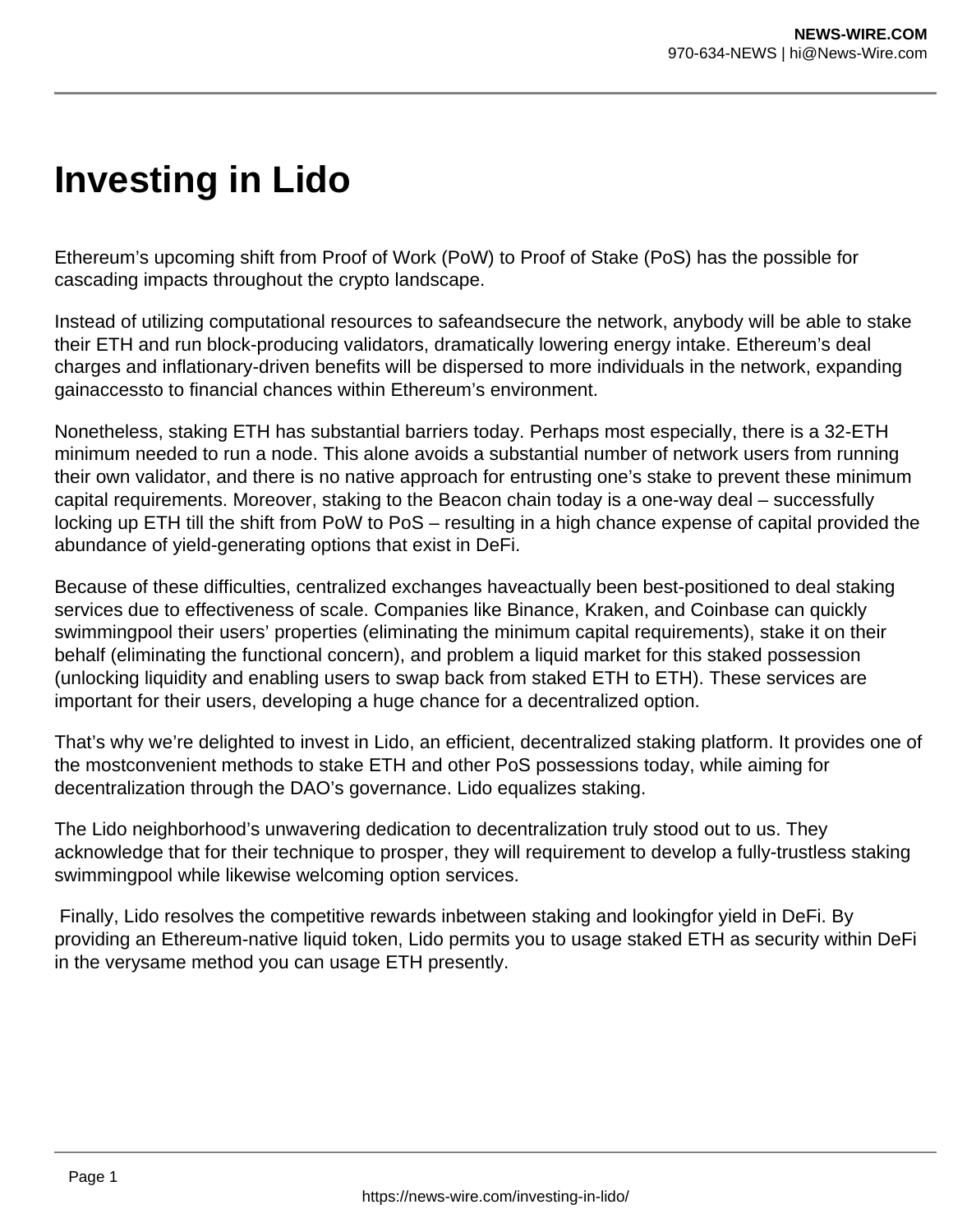## **Investing in Lido**

Ethereum's upcoming shift from Proof of Work (PoW) to Proof of Stake (PoS) has the possible for cascading impacts throughout the crypto landscape.

Instead of utilizing computational resources to safeandsecure the network, anybody will be able to stake their ETH and run block-producing validators, dramatically lowering energy intake. Ethereum's deal charges and inflationary-driven benefits will be dispersed to more individuals in the network, expanding gainaccessto to financial chances within Ethereum's environment.

Nonetheless, staking ETH has substantial barriers today. Perhaps most especially, there is a 32-ETH minimum needed to run a node. This alone avoids a substantial number of network users from running their own validator, and there is no native approach for entrusting one's stake to prevent these minimum capital requirements. Moreover, staking to the Beacon chain today is a one-way deal – successfully locking up ETH till the shift from PoW to PoS – resulting in a high chance expense of capital provided the abundance of yield-generating options that exist in DeFi.

Because of these difficulties, centralized exchanges haveactually been best-positioned to deal staking services due to effectiveness of scale. Companies like Binance, Kraken, and Coinbase can quickly swimmingpool their users' properties (eliminating the minimum capital requirements), stake it on their behalf (eliminating the functional concern), and problem a liquid market for this staked possession (unlocking liquidity and enabling users to swap back from staked ETH to ETH). These services are important for their users, developing a huge chance for a decentralized option.

That's why we're delighted to invest in Lido, an efficient, decentralized staking platform. It provides one of the mostconvenient methods to stake ETH and other PoS possessions today, while aiming for decentralization through the DAO's governance. Lido equalizes staking.

The Lido neighborhood's unwavering dedication to decentralization truly stood out to us. They acknowledge that for their technique to prosper, they will requirement to develop a fully-trustless staking swimmingpool while likewise welcoming option services.

Finally, Lido resolves the competitive rewards inbetween staking and lookingfor yield in DeFi. By providing an Ethereum-native liquid token, Lido permits you to usage staked ETH as security within DeFi in the verysame method you can usage ETH presently.